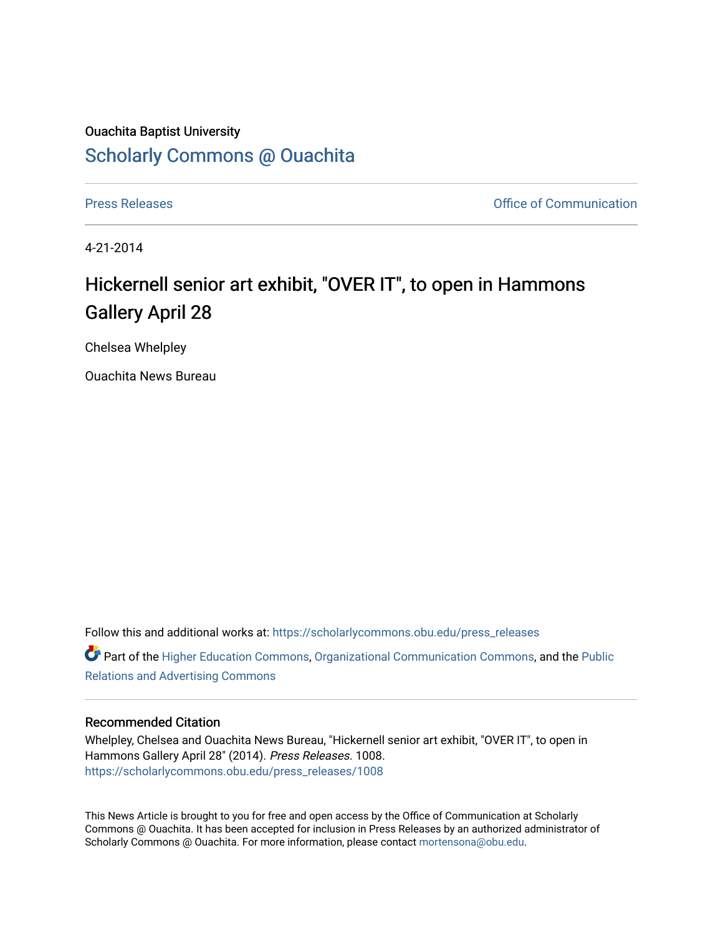## Ouachita Baptist University [Scholarly Commons @ Ouachita](https://scholarlycommons.obu.edu/)

[Press Releases](https://scholarlycommons.obu.edu/press_releases) **Press Releases Communication** 

4-21-2014

## Hickernell senior art exhibit, "OVER IT", to open in Hammons Gallery April 28

Chelsea Whelpley

Ouachita News Bureau

Follow this and additional works at: [https://scholarlycommons.obu.edu/press\\_releases](https://scholarlycommons.obu.edu/press_releases?utm_source=scholarlycommons.obu.edu%2Fpress_releases%2F1008&utm_medium=PDF&utm_campaign=PDFCoverPages) Part of the [Higher Education Commons,](http://network.bepress.com/hgg/discipline/1245?utm_source=scholarlycommons.obu.edu%2Fpress_releases%2F1008&utm_medium=PDF&utm_campaign=PDFCoverPages) [Organizational Communication Commons,](http://network.bepress.com/hgg/discipline/335?utm_source=scholarlycommons.obu.edu%2Fpress_releases%2F1008&utm_medium=PDF&utm_campaign=PDFCoverPages) and the [Public](http://network.bepress.com/hgg/discipline/336?utm_source=scholarlycommons.obu.edu%2Fpress_releases%2F1008&utm_medium=PDF&utm_campaign=PDFCoverPages) [Relations and Advertising Commons](http://network.bepress.com/hgg/discipline/336?utm_source=scholarlycommons.obu.edu%2Fpress_releases%2F1008&utm_medium=PDF&utm_campaign=PDFCoverPages) 

## Recommended Citation

Whelpley, Chelsea and Ouachita News Bureau, "Hickernell senior art exhibit, "OVER IT", to open in Hammons Gallery April 28" (2014). Press Releases. 1008. [https://scholarlycommons.obu.edu/press\\_releases/1008](https://scholarlycommons.obu.edu/press_releases/1008?utm_source=scholarlycommons.obu.edu%2Fpress_releases%2F1008&utm_medium=PDF&utm_campaign=PDFCoverPages) 

This News Article is brought to you for free and open access by the Office of Communication at Scholarly Commons @ Ouachita. It has been accepted for inclusion in Press Releases by an authorized administrator of Scholarly Commons @ Ouachita. For more information, please contact [mortensona@obu.edu](mailto:mortensona@obu.edu).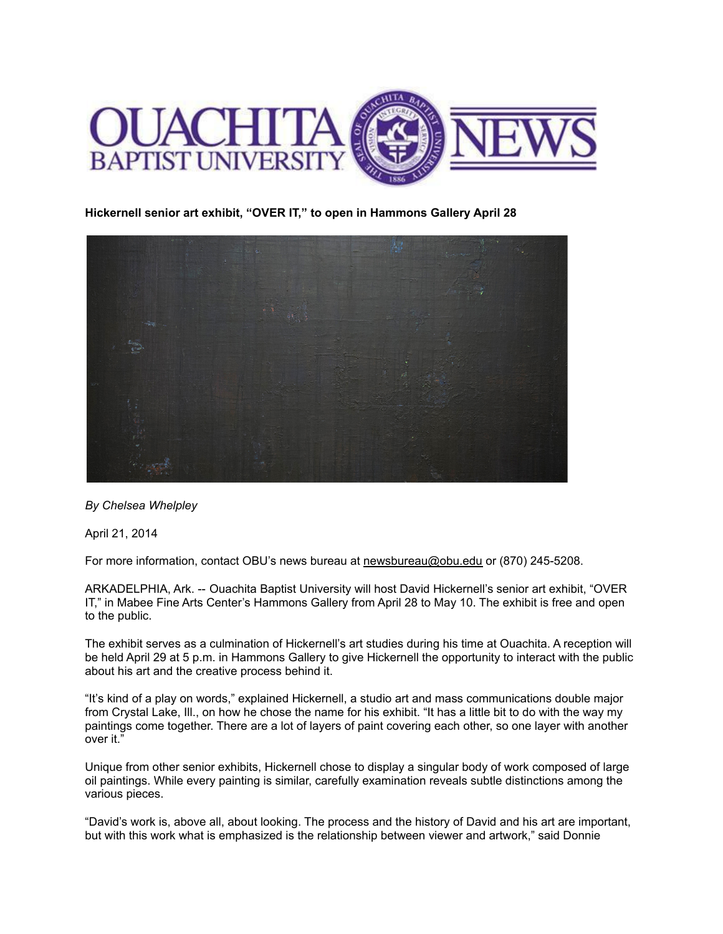

**Hickernell senior art exhibit, "OVER IT," to open in Hammons Gallery April 28**



*By Chelsea Whelpley*

April 21, 2014

For more information, contact OBU's news bureau at [newsbureau@obu.edu](mailto:newsbureau@obu.edu) or (870) 245-5208.

ARKADELPHIA, Ark. -- Ouachita Baptist University will host David Hickernell's senior art exhibit, "OVER IT," in Mabee Fine Arts Center's Hammons Gallery from April 28 to May 10. The exhibit is free and open to the public.

The exhibit serves as a culmination of Hickernell's art studies during his time at Ouachita. A reception will be held April 29 at 5 p.m. in Hammons Gallery to give Hickernell the opportunity to interact with the public about his art and the creative process behind it.

"It's kind of a play on words," explained Hickernell, a studio art and mass communications double major from Crystal Lake, Ill., on how he chose the name for his exhibit. "It has a little bit to do with the way my paintings come together. There are a lot of layers of paint covering each other, so one layer with another over it."

Unique from other senior exhibits, Hickernell chose to display a singular body of work composed of large oil paintings. While every painting is similar, carefully examination reveals subtle distinctions among the various pieces.

"David's work is, above all, about looking. The process and the history of David and his art are important, but with this work what is emphasized is the relationship between viewer and artwork," said Donnie